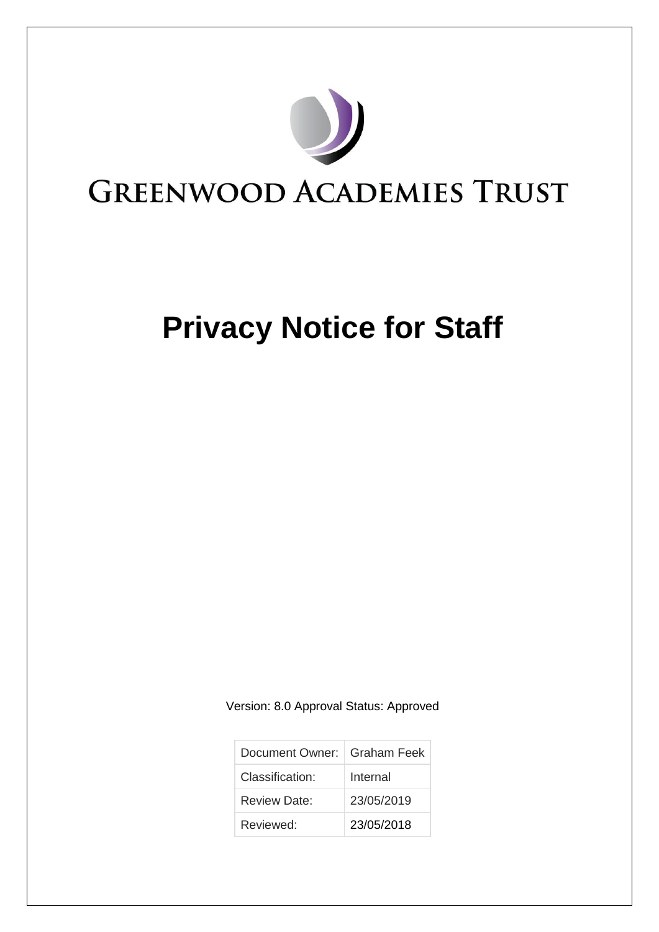

## **Privacy Notice for Staff**

Version: 8.0 Approval Status: Approved

| Document Owner:   Graham Feek |            |
|-------------------------------|------------|
| Classification:               | Internal   |
| Review Date:                  | 23/05/2019 |
| Reviewed:                     | 23/05/2018 |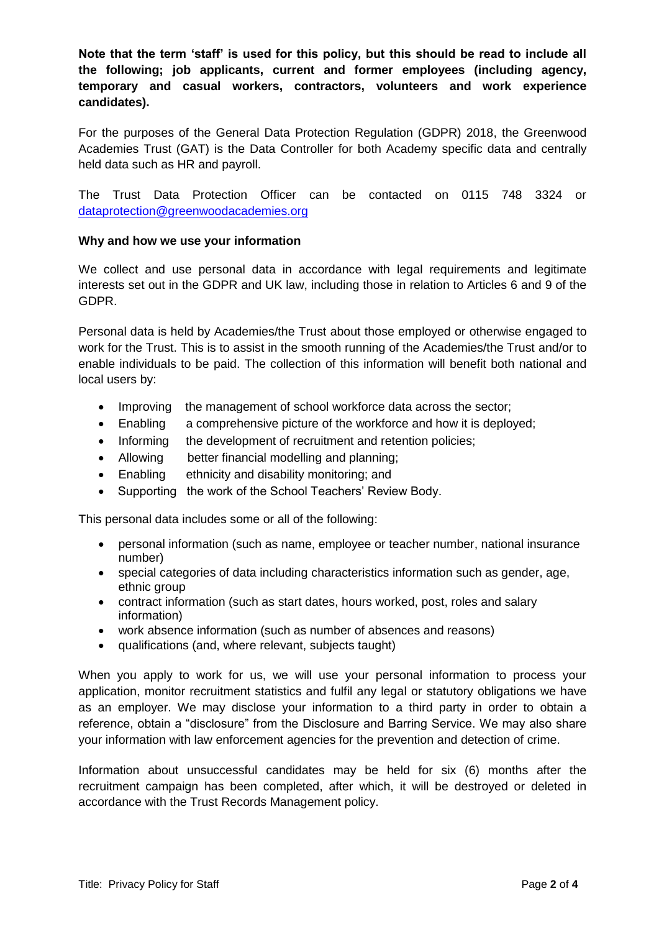**Note that the term 'staff' is used for this policy, but this should be read to include all the following; job applicants, current and former employees (including agency, temporary and casual workers, contractors, volunteers and work experience candidates).**

For the purposes of the General Data Protection Regulation (GDPR) 2018, the Greenwood Academies Trust (GAT) is the Data Controller for both Academy specific data and centrally held data such as HR and payroll.

The Trust Data Protection Officer can be contacted on 0115 748 3324 or [dataprotection@greenwoodacademies.org](mailto:dataprotection@greenwoodacademies.org)

## **Why and how we use your information**

We collect and use personal data in accordance with legal requirements and legitimate interests set out in the GDPR and UK law, including those in relation to Articles 6 and 9 of the GDPR.

Personal data is held by Academies/the Trust about those employed or otherwise engaged to work for the Trust. This is to assist in the smooth running of the Academies/the Trust and/or to enable individuals to be paid. The collection of this information will benefit both national and local users by:

- Improving the management of school workforce data across the sector:
- Enabling a comprehensive picture of the workforce and how it is deployed;
- Informing the development of recruitment and retention policies;
- Allowing better financial modelling and planning;
- Enabling ethnicity and disability monitoring; and
- Supporting the work of the School Teachers' Review Body.

This personal data includes some or all of the following:

- personal information (such as name, employee or teacher number, national insurance number)
- special categories of data including characteristics information such as gender, age, ethnic group
- contract information (such as start dates, hours worked, post, roles and salary information)
- work absence information (such as number of absences and reasons)
- qualifications (and, where relevant, subjects taught)

When you apply to work for us, we will use your personal information to process your application, monitor recruitment statistics and fulfil any legal or statutory obligations we have as an employer. We may disclose your information to a third party in order to obtain a reference, obtain a "disclosure" from the Disclosure and Barring Service. We may also share your information with law enforcement agencies for the prevention and detection of crime.

Information about unsuccessful candidates may be held for six (6) months after the recruitment campaign has been completed, after which, it will be destroyed or deleted in accordance with the Trust Records Management policy.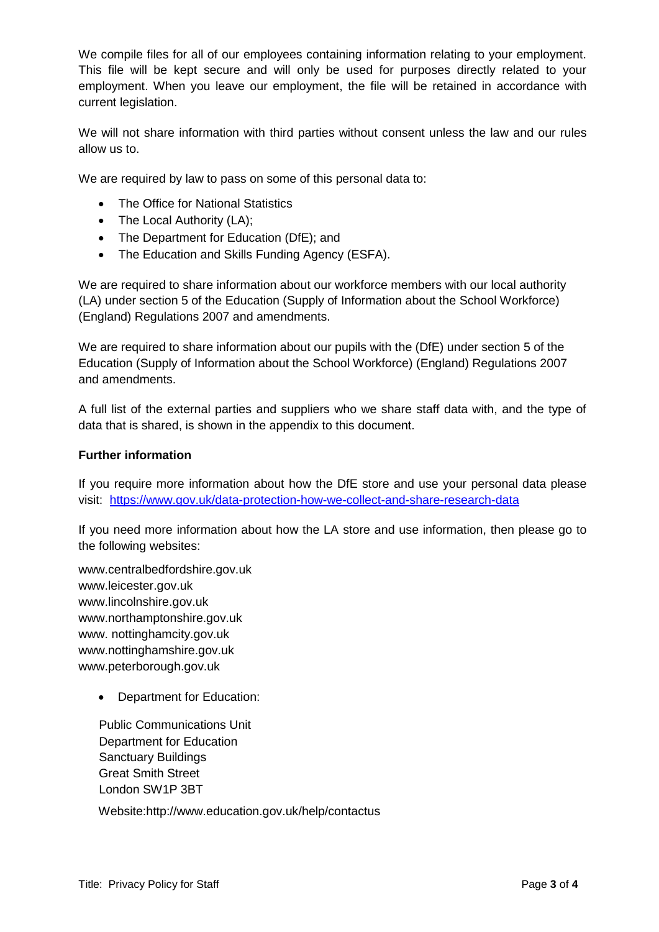We compile files for all of our employees containing information relating to your employment. This file will be kept secure and will only be used for purposes directly related to your employment. When you leave our employment, the file will be retained in accordance with current legislation.

We will not share information with third parties without consent unless the law and our rules allow us to.

We are required by law to pass on some of this personal data to:

- The Office for National Statistics
- The Local Authority (LA);
- The Department for Education (DfE); and
- The Education and Skills Funding Agency (ESFA).

We are required to share information about our workforce members with our local authority (LA) under section 5 of the Education (Supply of Information about the School Workforce) (England) Regulations 2007 and amendments.

We are required to share information about our pupils with the (DfE) under section 5 of the Education (Supply of Information about the School Workforce) (England) Regulations 2007 and amendments.

A full list of the external parties and suppliers who we share staff data with, and the type of data that is shared, is shown in the appendix to this document.

## **Further information**

If you require more information about how the DfE store and use your personal data please visit: <https://www.gov.uk/data-protection-how-we-collect-and-share-research-data>

If you need more information about how the LA store and use information, then please go to the following websites:

www.centralbedfordshire.gov.uk www.leicester.gov.uk www.lincolnshire.gov.uk www.northamptonshire.gov.uk www. nottinghamcity.gov.uk www.nottinghamshire.gov.uk www.peterborough.gov.uk

Department for Education:

 Public Communications Unit Department for Education Sanctuary Buildings Great Smith Street London SW1P 3BT

Website:http://www.education.gov.uk/help/contactus